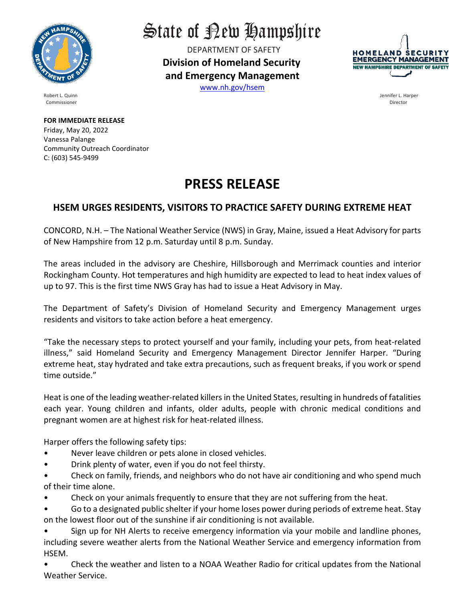

State of Rew Hampshire

DEPARTMENT OF SAFETY **Division of Homeland Security and Emergency Management**  [www.nh.gov/hsem](http://www.nh.gov/hsem)



Robert L. Quinn Jennifer L. Harper

Commissioner Director

**FOR IMMEDIATE RELEASE** Friday, May 20, 2022 Vanessa Palange Community Outreach Coordinator C: (603) 545-9499

## **PRESS RELEASE**

## **HSEM URGES RESIDENTS, VISITORS TO PRACTICE SAFETY DURING EXTREME HEAT**

CONCORD, N.H. – The National Weather Service (NWS) in Gray, Maine, issued a Heat Advisory for parts of New Hampshire from 12 p.m. Saturday until 8 p.m. Sunday.

The areas included in the advisory are Cheshire, Hillsborough and Merrimack counties and interior Rockingham County. Hot temperatures and high humidity are expected to lead to heat index values of up to 97. This is the first time NWS Gray has had to issue a Heat Advisory in May.

The Department of Safety's Division of Homeland Security and Emergency Management urges residents and visitors to take action before a heat emergency.

"Take the necessary steps to protect yourself and your family, including your pets, from heat-related illness," said Homeland Security and Emergency Management Director Jennifer Harper. "During extreme heat, stay hydrated and take extra precautions, such as frequent breaks, if you work or spend time outside."

Heat is one of the leading weather-related killers in the United States, resulting in hundreds of fatalities each year. Young children and infants, older adults, people with chronic medical conditions and pregnant women are at highest risk for heat-related illness.

Harper offers the following safety tips:

- Never leave children or pets alone in closed vehicles.
- Drink plenty of water, even if you do not feel thirsty.

• Check on family, friends, and neighbors who do not have air conditioning and who spend much of their time alone.

- Check on your animals frequently to ensure that they are not suffering from the heat.
- Go to a designated public shelter if your home loses power during periods of extreme heat. Stay on the lowest floor out of the sunshine if air conditioning is not available.
- Sign up for NH Alerts to receive emergency information via your mobile and landline phones, including severe weather alerts from the National Weather Service and emergency information from HSEM.

• Check the weather and listen to a NOAA Weather Radio for critical updates from the National Weather Service.